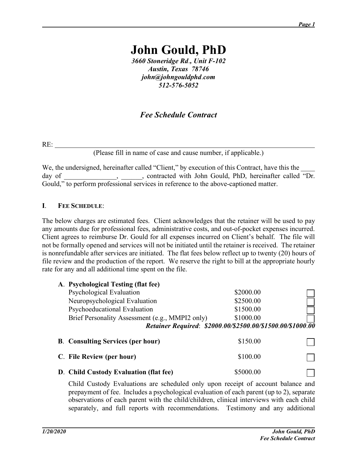# **John Gould, PhD**

*3660 Stoneridge Rd*.*, Unit F-102 Austin, Texas 78746 john@johngouldphd*.*com 512-576-5052*

## *Fee Schedule Contract*

RE:

(Please fill in name of case and cause number, if applicable.)

We, the undersigned, hereinafter called "Client," by execution of this Contract, have this the day of \_\_\_\_\_\_\_\_\_\_\_\_\_\_, \_\_\_\_\_\_, contracted with John Gould, PhD, hereinafter called "Dr. Gould," to perform professional services in reference to the above-captioned matter.

#### **I**. **FEE SCHEDULE**:

The below charges are estimated fees. Client acknowledges that the retainer will be used to pay any amounts due for professional fees, administrative costs, and out-of-pocket expenses incurred. Client agrees to reimburse Dr. Gould for all expenses incurred on Client's behalf. The file will not be formally opened and services will not be initiated until the retainer is received. The retainer is nonrefundable after services are initiated. The flat fees below reflect up to twenty (20) hours of file review and the production of the report. We reserve the right to bill at the appropriate hourly rate for any and all additional time spent on the file.

| A. Psychological Testing (flat fee)             |                                                            |  |
|-------------------------------------------------|------------------------------------------------------------|--|
| Psychological Evaluation                        | \$2000.00                                                  |  |
| Neuropsychological Evaluation                   | \$2500.00                                                  |  |
| Psychoeducational Evaluation                    | \$1500.00                                                  |  |
| Brief Personality Assessment (e.g., MMPI2 only) | \$1000.00                                                  |  |
|                                                 | Retainer Required: \$2000.00/\$2500.00/\$1500.00/\$1000.00 |  |
|                                                 |                                                            |  |
| <b>B.</b> Consulting Services (per hour)        | \$150.00                                                   |  |
| C. File Review (per hour)                       | \$100.00                                                   |  |

Child Custody Evaluations are scheduled only upon receipt of account balance and prepayment of fee. Includes a psychological evaluation of each parent (up to 2), separate observations of each parent with the child/children, clinical interviews with each child separately, and full reports with recommendations. Testimony and any additional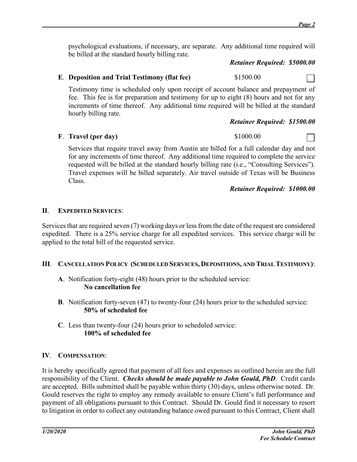psychological evaluations, if necessary, are separate. Any additional time required will be billed at the standard hourly billing rate.

#### *Retainer Required: \$5000.00*

## **E**. **Deposition and Trial Testimony (flat fee)** \$1500.00

Testimony time is scheduled only upon receipt of account balance and prepayment of fee. This fee is for preparation and testimony for up to eight (8) hours and not for any increments of time thereof. Any additional time required will be billed at the standard hourly billing rate.

#### *Retainer Required: \$1500.00*

#### **F**. **Travel (per day)** \$1000.00

Services that require travel away from Austin are billed for a full calendar day and not for any increments of time thereof. Any additional time required to complete the service requested will be billed at the standard hourly billing rate (i.e., "Consulting Services"). Travel expenses will be billed separately. Air travel outside of Texas will be Business Class.

*Retainer Required: \$1000.00*

#### **II**. **EXPEDITED SERVICES**:

Services that are required seven (7) working days or less from the date of the request are considered expedited. There is a 25% service charge for all expedited services. This service charge will be applied to the total bill of the requested service.

#### **III**. **CANCELLATION POLICY (SCHEDULED SERVICES, DEPOSITIONS, AND TRIAL TESTIMONY)**:

- **A**. Notification forty-eight (48) hours prior to the scheduled service: **No cancellation fee**
- **B**. Notification forty-seven (47) to twenty-four (24) hours prior to the scheduled service: **50% of scheduled fee**
- **C**. Less than twenty-four (24) hours prior to scheduled service: **100% of scheduled fee**

#### **IV**. **COMPENSATION**:

It is hereby specifically agreed that payment of all fees and expenses as outlined herein are the full responsibility of the Client. *Checks should be made payable to John Gould, PhD*. Credit cards are accepted. Bills submitted shall be payable within thirty (30) days, unless otherwise noted. Dr. Gould reserves the right to employ any remedy available to ensure Client's full performance and payment of all obligations pursuant to this Contract. Should Dr. Gould find it necessary to resort to litigation in order to collect any outstanding balance owed pursuant to this Contract, Client shall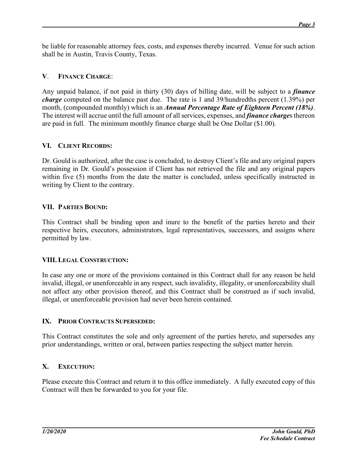be liable for reasonable attorney fees, costs, and expenses thereby incurred. Venue for such action shall be in Austin, Travis County, Texas.

## **V**. **FINANCE CHARGE**:

Any unpaid balance, if not paid in thirty (30) days of billing date, will be subject to a *finance charge* computed on the balance past due. The rate is 1 and 39/hundredths percent (1.39%) per month, (compounded monthly) which is an *Annual Percentage Rate of Eighteen Percent (18%)*. The interest will accrue until the full amount of all services, expenses, and *finance charge*s thereon are paid in full. The minimum monthly finance charge shall be One Dollar (\$1.00).

## **VI. CLIENT RECORDS:**

Dr. Gould is authorized, after the case is concluded, to destroy Client's file and any original papers remaining in Dr. Gould's possession if Client has not retrieved the file and any original papers within five (5) months from the date the matter is concluded, unless specifically instructed in writing by Client to the contrary.

## **VII. PARTIES BOUND:**

This Contract shall be binding upon and inure to the benefit of the parties hereto and their respective heirs, executors, administrators, legal representatives, successors, and assigns where permitted by law.

## **VIII. LEGAL CONSTRUCTION:**

In case any one or more of the provisions contained in this Contract shall for any reason be held invalid, illegal, or unenforceable in any respect, such invalidity, illegality, or unenforceability shall not affect any other provision thereof, and this Contract shall be construed as if such invalid, illegal, or unenforceable provision had never been herein contained.

## **IX. PRIOR CONTRACTS SUPERSEDED:**

This Contract constitutes the sole and only agreement of the parties hereto, and supersedes any prior understandings, written or oral, between parties respecting the subject matter herein.

## **X. EXECUTION:**

Please execute this Contract and return it to this office immediately. A fully executed copy of this Contract will then be forwarded to you for your file.